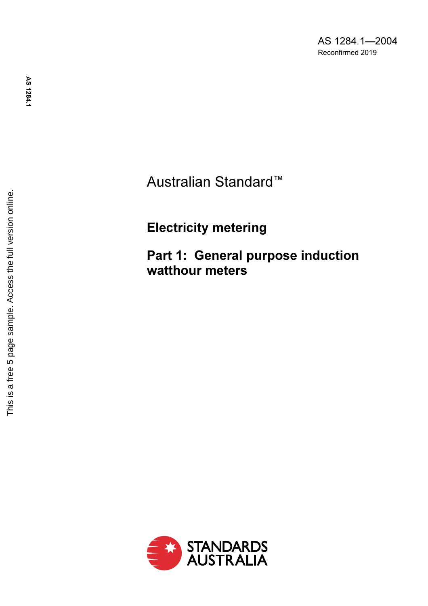AS 1284.1—2004 Reconfirmed 201 9

Australian Standard ™

Electricity metering

Part 1: General purpose induction watthour meters

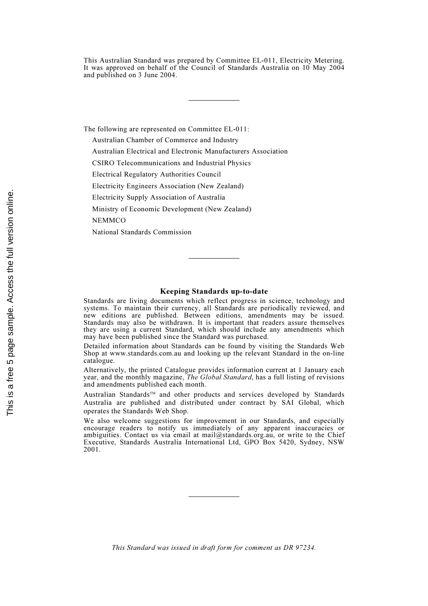This Australian Standard was prepared by Committee EL-011, Electricity Metering. It was approved on behalf of the Council of Standards Australia on 10 May 2004 and published on 3 June 2004.

The following are represented on Committee EL-011:

Australian Chamber of Commerce and Industry

Australian Electrical and Electronic Manufacturers Association

CSIRO Telecommunications and Industrial Physics

Electrical Regulatory Authorities Council

Electricity Engineers Association (New Zealand)

Electricity Supply Association of Australia

Ministry of Economic Development (New Zealand)

**NEMMCO** 

National Standards Commission

### Keeping Standards up-to-date

Standards are living documents which reflect progress in science, technology and systems. To maintain their currency, all Standards are periodically reviewed, and new editions are published. Between editions, amendments may be issued. Standards may also be withdrawn. It is important that readers assure themselves they are using a current Standard, which should include any amendments which may have been published since the Standard was purchased.

Detailed information about Standards can be found by visiting the Standards Web Shop at www.standards.com.au and looking up the relevant Standard in the on-line catalogue.

Alternatively, the printed Catalogue provides information current at 1 January each year, and the monthly magazine, The Global Standard, has a full listing of revisions and amendments published each month.

Australian Standards<sup>™</sup> and other products and services developed by Standards Australia are published and distributed under contract by SAI Global, which operates the Standards Web Shop.

We also welcome suggestions for improvement in our Standards, and especially encourage readers to notify us immediately of any apparent inaccuracies or ambiguities. Contact us via email at mail@standards.org.au, or write to the Chief Executive, Standards Australia International Ltd, GPO Box 5420, Sydney, NSW 2001.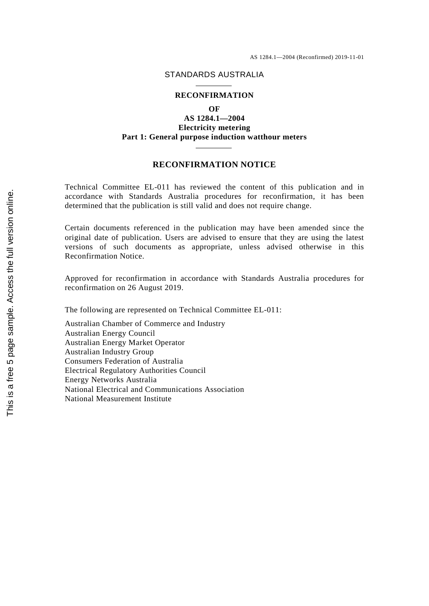### STANDARDS AUSTRALIA

#### **RECONFIRMATION**

**OF**

**AS 1284.1—2004 Electricity metering Part 1: General purpose induction watthour meters**

## **RECONFIRMATION NOTICE**

Technical Committee EL-011 has reviewed the content of this publication and in accordance with Standards Australia procedures for reconfirmation, it has been determined that the publication is still valid and does not require change.

Certain documents referenced in the publication may have been amended since the original date of publication. Users are advised to ensure that they are using the latest versions of such documents as appropriate, unless advised otherwise in this Reconfirmation Notice.

Approved for reconfirmation in accordance with Standards Australia procedures for reconfirmation on 26 August 2019.

The following are represented on Technical Committee EL-011:

Australian Chamber of Commerce and Industry Australian Energy Council Australian Energy Market Operator Australian Industry Group Consumers Federation of Australia Electrical Regulatory Authorities Council Energy Networks Australia National Electrical and Communications Association National Measurement Institute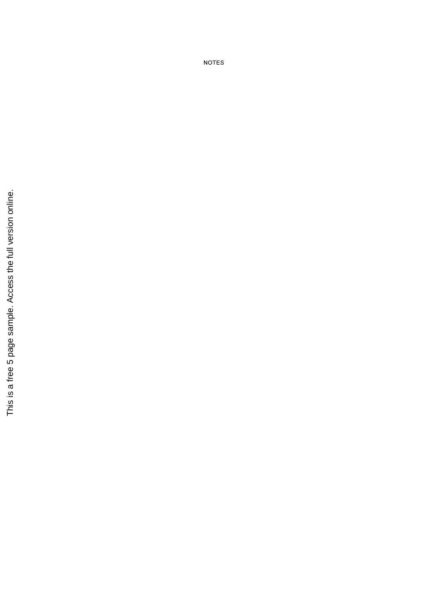This is a free 5 page sample. Access the full version online. This is a free 5 page sample. Access the full version online.

NOTES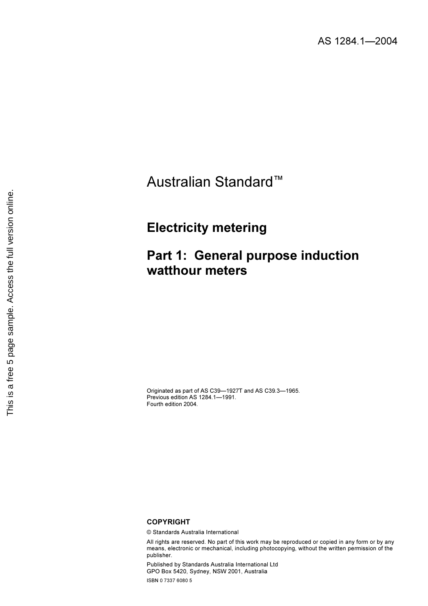# Australian Standard™

## Electricity metering

# Part 1: General purpose induction watthour meters

Originated as part of AS C39—1927T and AS C39.3—1965. Previous edition AS 1284.1—1991. Fourth edition 2004.

### **COPYRIGHT**

© Standards Australia International

All rights are reserved. No part of this work may be reproduced or copied in any form or by any means, electronic or mechanical, including photocopying, without the written permission of the publisher.

Published by Standards Australia International Ltd GPO Box 5420, Sydney, NSW 2001, Australia ISBN 0 7337 6080 5